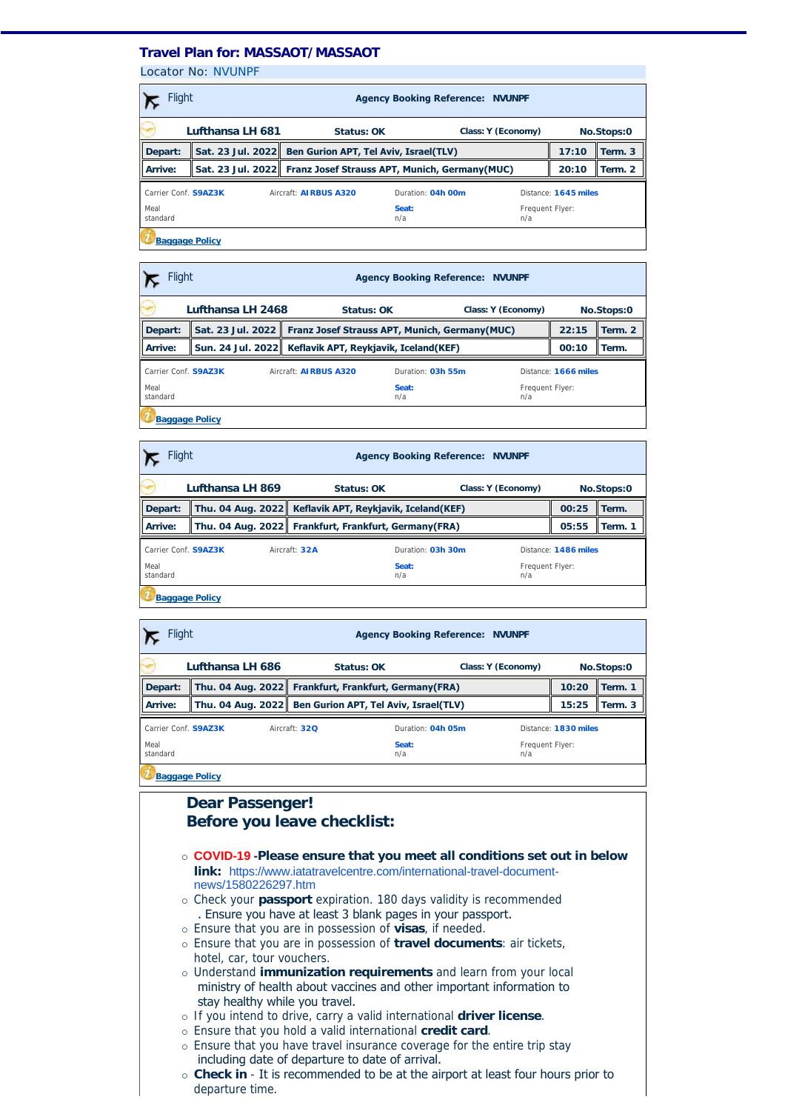## **Travel Plan for: MASSAOT/MASSAOT**

Locator No: [NVUNPF](https://travel-management:44302/PassengersInPnr.aspx?pnr=NVUNPF&past=True&name=&office=&update=False&provider=WORLDSPAN&format=MjQgSG91cg==&brand=2&menu=False&fromversion=0&history=-1)

| <b>Flight</b><br><b>Agency Booking Reference: NVUNPF</b>                                          |                  |                                                                 |              |                                  |       |         |  |
|---------------------------------------------------------------------------------------------------|------------------|-----------------------------------------------------------------|--------------|----------------------------------|-------|---------|--|
|                                                                                                   | Lufthansa LH 681 | Status: OK                                                      |              | Class: Y (Economy)<br>No.Stops:0 |       |         |  |
| Depart:                                                                                           |                  | Sat. 23 Jul. 2022 Ben Gurion APT, Tel Aviv, Israel(TLV)         |              |                                  | 17:10 | Term. 3 |  |
| Arrive:                                                                                           |                  | Sat. 23 Jul. 2022 Franz Josef Strauss APT, Munich, Germany(MUC) |              |                                  |       | Term. 2 |  |
| Carrier Conf. S9AZ3K<br>Aircraft: <b>AIRBUS A320</b><br>Duration: 04h 00m<br>Distance: 1645 miles |                  |                                                                 |              |                                  |       |         |  |
| Meal<br>standard                                                                                  |                  |                                                                 | Seat:<br>n/a | Frequent Flyer:<br>n/a           |       |         |  |
| <b>Baggage Policy</b>                                                                             |                  |                                                                 |              |                                  |       |         |  |

| Flight<br><b>Agency Booking Reference: NVUNPF</b> |                                                                   |                                                           |                                  |                        |                      |            |  |
|---------------------------------------------------|-------------------------------------------------------------------|-----------------------------------------------------------|----------------------------------|------------------------|----------------------|------------|--|
|                                                   | Lufthansa LH 2468                                                 |                                                           | Status: OK<br>Class: Y (Economy) |                        |                      | No.Stops:0 |  |
| Depart:                                           | Sat. 23 Jul. 2022   Franz Josef Strauss APT, Munich, Germany(MUC) |                                                           |                                  |                        | 22:15                | Term. 2    |  |
| Arrive:                                           |                                                                   | Sun. 24 Jul. 2022   Keflavik APT, Reykjavik, Iceland(KEF) |                                  |                        | 00:10                | l Term.    |  |
| Carrier Conf. S9AZ3K                              |                                                                   | Aircraft: AIRBUS A320                                     | Duration: 03h 55m                |                        | Distance: 1666 miles |            |  |
| Meal<br>standard                                  |                                                                   |                                                           | Seat:<br>n/a                     | Frequent Flyer:<br>n/a |                      |            |  |
| <b>Baggage Policy</b>                             |                                                                   |                                                           |                                  |                        |                      |            |  |

| <b>Flight</b><br><b>Agency Booking Reference: NVUNPF</b> |  |  |                                                           |                   |  |                        |                      |  |  |
|----------------------------------------------------------|--|--|-----------------------------------------------------------|-------------------|--|------------------------|----------------------|--|--|
| Lufthansa LH 869                                         |  |  | Status: OK<br>Class: Y (Economy)                          |                   |  | No.Stops:0             |                      |  |  |
| Depart:                                                  |  |  | Thu. 04 Aug. 2022   Keflavik APT, Reykjavik, Iceland(KEF) |                   |  | 00:25                  | Term.                |  |  |
| Arrive:                                                  |  |  | Thu. 04 Aug. 2022 Frankfurt, Frankfurt, Germany (FRA)     |                   |  | 05:55                  | Term. 1              |  |  |
| Carrier Conf. S9AZ3K                                     |  |  | Aircraft: 32A                                             | Duration: 03h 30m |  |                        | Distance: 1486 miles |  |  |
| Meal<br>standard                                         |  |  |                                                           | Seat:<br>n/a      |  | Frequent Flyer:<br>n/a |                      |  |  |
| <b>Baggage Policy</b>                                    |  |  |                                                           |                   |  |                        |                      |  |  |

| Flight<br><b>Agency Booking Reference: NVUNPF</b> |                  |                                                         |                    |                        |                      |            |  |
|---------------------------------------------------|------------------|---------------------------------------------------------|--------------------|------------------------|----------------------|------------|--|
|                                                   | Lufthansa LH 686 | Status: OK                                              | Class: Y (Economy) |                        |                      | No.Stops:0 |  |
| Depart:                                           |                  | Thu. 04 Aug. 2022 Frankfurt, Frankfurt, Germany(FRA)    |                    |                        | 10:20                | Term. 1    |  |
| Arrive:                                           |                  | Thu. 04 Aug. 2022 Ben Gurion APT, Tel Aviv, Israel(TLV) |                    |                        | 15:25                | Term. 3    |  |
| Carrier Conf. S9AZ3K                              |                  | Aircraft: 320                                           | Duration: 04h 05m  |                        | Distance: 1830 miles |            |  |
| Meal<br>standard                                  |                  |                                                         | Seat:<br>n/a       | Frequent Flyer:<br>n/a |                      |            |  |
| <b>Baggage Policy</b>                             |                  |                                                         |                    |                        |                      |            |  |

## **Dear Passenger! Before you leave checklist:** ¡ **COVID-19 -Please ensure that you meet all conditions set out in below link:** [https://www.iatatravelcentre.com/international-travel-document](https://www.iatatravelcentre.com/international-travel-document-news/1580226297.htm)news/1580226297.htm ¡ Check your **passport** expiration. 180 days validity is recommended . Ensure you have at least 3 blank pages in your passport. ¡ Ensure that you are in possession of **visas**, if needed. ¡ Ensure that you are in possession of **travel documents**: air tickets, hotel, car, tour vouchers. ¡ Understand **immunization requirements** and learn from your local ministry of health about vaccines and other important information to stay healthy while you travel. ¡ If you intend to drive, carry a valid international **driver license**. ¡ Ensure that you hold a valid international **credit card**. o Ensure that you have travel insurance coverage for the entire trip stay including date of departure to date of arrival. ¡ **Check in** - It is recommended to be at the airport at least four hours prior to departure time.